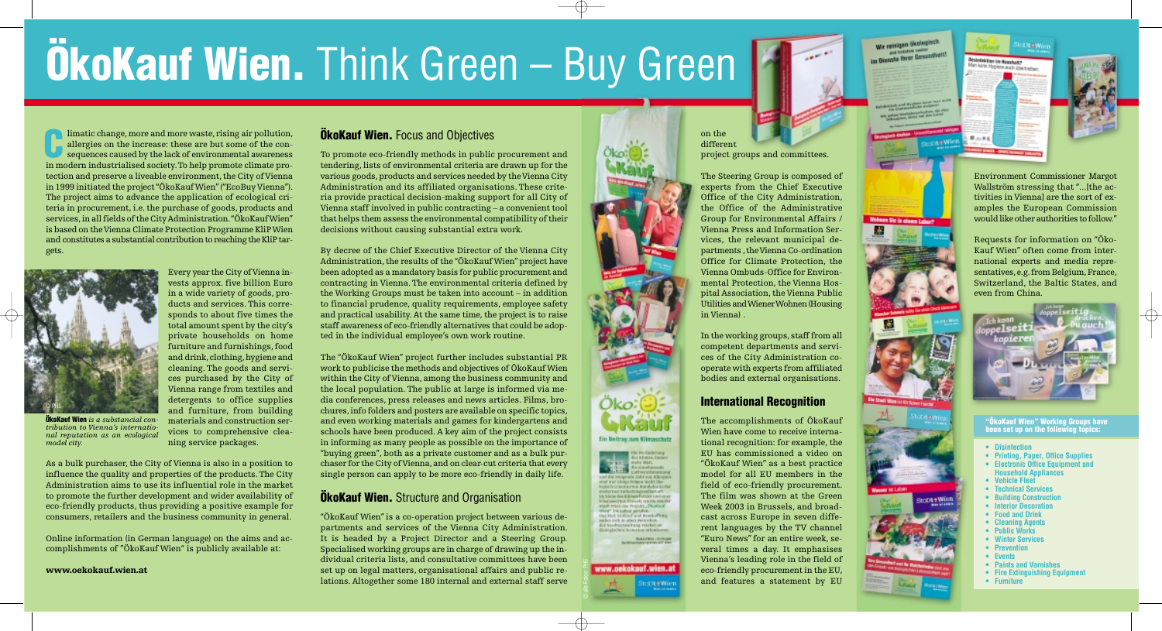# **ÖkoKauf Wien.** Think Green – Buy Green

limatic change, more and more waste, rising air pollution, allergies on the increase: these are but some of the consequences caused by the lack of environmental awareness allergies on the increase: these are but some of the consequences caused by the lack of environmental awareness in modern industrialised society.To help promote climate protection and preserve a liveable environment, the City of Vienna in 1999 initiated the project "ÖkoKauf Wien"("EcoBuy Vienna"). The project aims to advance the application of ecological criteria in procurement, i.e. the purchase of goods, products and services, in all fields of the City Administration."ÖkoKauf Wien" is based on the Vienna Climate Protection Programme KliP Wien and constitutes a substantial contribution to reaching the KliP targets.

> Every year the City of Vienna invests approx. five billion Euro in a wide variety of goods, products and services. This corresponds to about five times the total amount spent by the city's private households on home furniture and furnishings, food and drink, clothing, hygiene and cleaning. The goods and services purchased by the City of Vienna range from textiles and detergents to office supplies and furniture, from building materials and construction services to comprehensive cleaning service packages.

As a bulk purchaser, the City of Vienna is also in a position to influence the quality and properties of the products. The City Administration aims to use its influential role in the market to promote the further development and wider availability of eco-friendly products, thus providing a positive example for consumers, retailers and the business community in general.

Online information (in German language) on the aims and accomplishments of "ÖkoKauf Wien" is publicly available at:

**www.oekokauf.wien.at** 

#### **ÖkoKauf Wien.** Focus and Objectives

To promote eco-friendly methods in public procurement and tendering, lists of environmental criteria are drawn up for the various goods, products and services needed by the Vienna City Administration and its affiliated organisations. These criteria provide practical decision-making support for all City of Vienna staff involved in public contracting – a convenient tool that helps them assess the environmental compatibility of their decisions without causing substantial extra work.

By decree of the Chief Executive Director of the Vienna City Administration, the results of the "ÖkoKauf Wien" project have been adopted as a mandatory basis for public procurement and contracting in Vienna. The environmental criteria defined by the Working Groups must be taken into account – in addition to financial prudence, quality requirements, employee safety and practical usability. At the same time, the project is to raise staff awareness of eco-friendly alternatives that could be adopted in the individual employee's own work routine.

The "ÖkoKauf Wien" project further includes substantial PR work to publicise the methods and objectives of ÖkoKauf Wien within the City of Vienna, among the business community and the local population. The public at large is informed via media conferences, press releases and news articles. Films, brochures, info folders and posters are available on specific topics, and even working materials and games for kindergartens and schools have been produced. A key aim of the project consists in informing as many people as possible on the importance of "buying green", both as a private customer and as a bulk purchaser for the City of Vienna, and on clear-cut criteria that every single person can apply to be more eco-friendly in daily life.

#### **ÖkoKauf Wien.** Structure and Organisation

"ÖkoKauf Wien" is a co-operation project between various departments and services of the Vienna City Administration. It is headed by a Project Director and a Steering Group. Specialised working groups are in charge of drawing up the individual criteria lists, and consultative committees have been set up on legal matters, organisational affairs and public relations. Altogether some 180 internal and external staff serve Öko:

mahr Márt. die zunehmende. tweebeatras und die steigende Eshl von Allemie<br>sind zur einige Folgen nicht ökesaisch orientierten Eurdohn in de madornan tadaxtriasoxellarhof tra Sistae des Klimaschurzes und Ichenevorten Universit wurde von de Stadt tyjen das Prejekt ... Photograph trica" in tabes pender.<br>Das Siek tinkaef and Boschaffung suitkers sich in alters therefelsen. waltung stärker on ilkstockelsen Kriterien orientieren **Bukarma-Buhijar** 

**Ein Beitrag zum Klimpschatz** 



#### on the different project groups and committees.

The Steering Group is composed of experts from the Chief Executive Office of the City Administration, the Office of the Administrative Group for Environmental Affairs / Vienna Press and Information Services, the relevant municipal departments, the Vienna Co-ordination Office for Climate Protection, the Vienna Ombuds-Office for Environmental Protection, the Vienna Hospital Association, the Vienna Public Utilities and Wiener Wohnen (Housing in Vienna) .

In the working groups, staff from all competent departments and services of the City Administration cooperate with experts from affiliated bodies and external organisations.

#### **International Recognition**

The accomplishments of ÖkoKauf Wien have come to receive international recognition: for example, the EU has commissioned a video on "ÖkoKauf Wien" as a best practice model for all EU members in the field of eco-friendly procurement. The film was shown at the Green Week 2003 in Brussels, and broadcast across Europe in seven different languages by the TV channel "Euro News" for an entire week, several times a day. It emphasises Vienna's leading role in the field of eco-friendly procurement in the EU, and features a statement by EU

im Dienste Three Gesundheit!

Wohnen Sie in einem Labor?

R.

Wir reinigen ökologisch

医后耳的

**Desinfaktion in Regulator** Man kane Hygiene auch sbertreibe

Dt#Wier

Environment Commissioner Margot Wallström stressing that "...[the activities in Vienna] are the sort of examples the European Commission would like other authorities to follow."

Requests for information on "Öko-Kauf Wien" often come from international experts and media representatives, e.g.from Belgium, France, Switzerland, the Baltic States, and even from China.





**ÖkoKauf Wien** *is a substancial contribution to Vienna's international reputation as an ecological model city.* 

**"ÖkoKauf Wien" Working Groups have been set up on the following topics:** 

- **Disinfection**
- **Printing, Paper, Office Supplies**
- **Electronic Office Equipment and Household Appliances**
- **Vehicle Fleet**
- **Technical Services**
- **Building Construction**
- **Interior Decoration**
- **Food and Drink**
- **Cleaning Agents**
- **Public Works**
- **Winter Services**
- **Prevention**
- **Events**

aciot+Wien

- **Paints and Varnishes**
- **Fire Extinguishing Equipment**
- **Furniture**